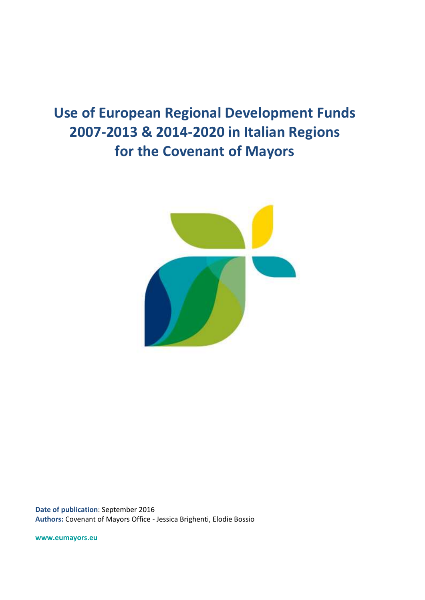# **Use of European Regional Development Funds 2007-2013 & 2014-2020 in Italian Regions for the Covenant of Mayors**



**Date of publication**: September 2016 **Authors:** Covenant of Mayors Office - Jessica Brighenti, Elodie Bossio

**www.eumayors.eu**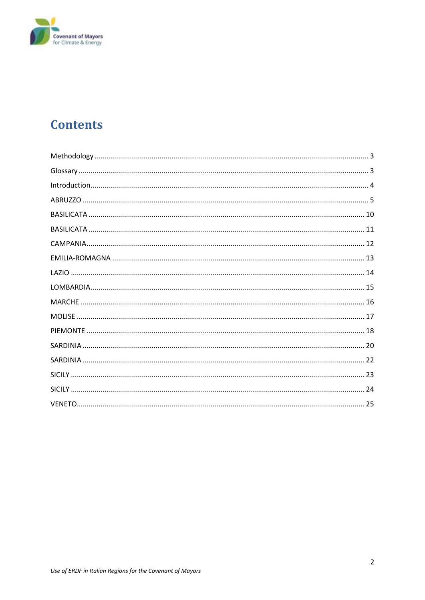

# **Contents**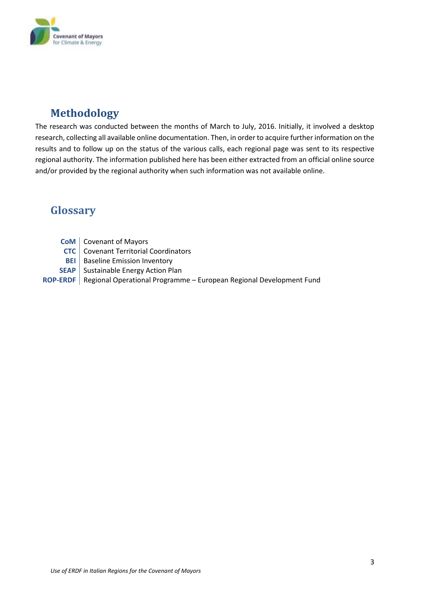

# <span id="page-2-0"></span>**Methodology**

The research was conducted between the months of March to July, 2016. Initially, it involved a desktop research, collecting all available online documentation. Then, in order to acquire further information on the results and to follow up on the status of the various calls, each regional page was sent to its respective regional authority. The information published here has been either extracted from an official online source and/or provided by the regional authority when such information was not available online.

# <span id="page-2-1"></span>**Glossary**

- **CoM** Covenant of Mayors
- **CTC** Covenant Territorial Coordinators
- **BEI** Baseline Emission Inventory
- **SEAP** Sustainable Energy Action Plan

**ROP-ERDF** Regional Operational Programme – European Regional Development Fund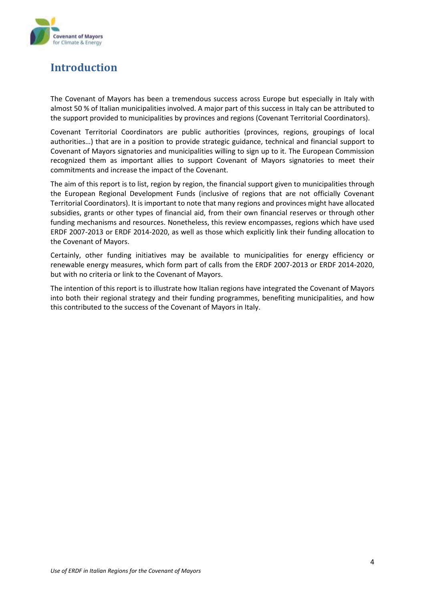

# <span id="page-3-0"></span>**Introduction**

The Covenant of Mayors has been a tremendous success across Europe but especially in Italy with almost 50 % of Italian municipalities involved. A major part of this success in Italy can be attributed to the support provided to municipalities by provinces and regions (Covenant Territorial Coordinators).

Covenant Territorial Coordinators are public authorities (provinces, regions, groupings of local authorities…) that are in a position to provide strategic guidance, technical and financial support to Covenant of Mayors signatories and municipalities willing to sign up to it. The European Commission recognized them as important allies to support Covenant of Mayors signatories to meet their commitments and increase the impact of the Covenant.

The aim of this report is to list, region by region, the financial support given to municipalities through the European Regional Development Funds (inclusive of regions that are not officially Covenant Territorial Coordinators). It is important to note that many regions and provinces might have allocated subsidies, grants or other types of financial aid, from their own financial reserves or through other funding mechanisms and resources. Nonetheless, this review encompasses, regions which have used ERDF 2007-2013 or ERDF 2014-2020, as well as those which explicitly link their funding allocation to the Covenant of Mayors.

Certainly, other funding initiatives may be available to municipalities for energy efficiency or renewable energy measures, which form part of calls from the ERDF 2007-2013 or ERDF 2014-2020, but with no criteria or link to the Covenant of Mayors.

The intention of this report is to illustrate how Italian regions have integrated the Covenant of Mayors into both their regional strategy and their funding programmes, benefiting municipalities, and how this contributed to the success of the Covenant of Mayors in Italy.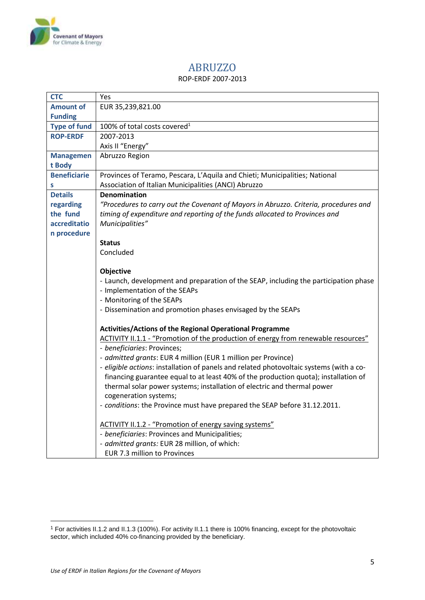

### ABRUZZO

#### ROP-ERDF 2007-2013

<span id="page-4-0"></span>

| <b>CTC</b>          | Yes                                                                                     |
|---------------------|-----------------------------------------------------------------------------------------|
| <b>Amount of</b>    | EUR 35,239,821.00                                                                       |
| <b>Funding</b>      |                                                                                         |
| <b>Type of fund</b> | 100% of total costs covered <sup>1</sup>                                                |
| <b>ROP-ERDF</b>     | 2007-2013                                                                               |
|                     | Axis II "Energy"                                                                        |
| <b>Managemen</b>    | Abruzzo Region                                                                          |
| t Body              |                                                                                         |
| <b>Beneficiarie</b> | Provinces of Teramo, Pescara, L'Aquila and Chieti; Municipalities; National             |
| S                   | Association of Italian Municipalities (ANCI) Abruzzo                                    |
| <b>Details</b>      | <b>Denomination</b>                                                                     |
| regarding           | "Procedures to carry out the Covenant of Mayors in Abruzzo. Criteria, procedures and    |
| the fund            | timing of expenditure and reporting of the funds allocated to Provinces and             |
| accreditatio        | Municipalities"                                                                         |
| n procedure         |                                                                                         |
|                     | <b>Status</b>                                                                           |
|                     | Concluded                                                                               |
|                     |                                                                                         |
|                     | Objective                                                                               |
|                     | - Launch, development and preparation of the SEAP, including the participation phase    |
|                     | - Implementation of the SEAPs<br>- Monitoring of the SEAPs                              |
|                     | - Dissemination and promotion phases envisaged by the SEAPs                             |
|                     |                                                                                         |
|                     | Activities/Actions of the Regional Operational Programme                                |
|                     | ACTIVITY II.1.1 - "Promotion of the production of energy from renewable resources"      |
|                     | - beneficiaries: Provinces;                                                             |
|                     | - admitted grants: EUR 4 million (EUR 1 million per Province)                           |
|                     | - eligible actions: installation of panels and related photovoltaic systems (with a co- |
|                     | financing guarantee equal to at least 40% of the production quota); installation of     |
|                     | thermal solar power systems; installation of electric and thermal power                 |
|                     | cogeneration systems;                                                                   |
|                     | - conditions: the Province must have prepared the SEAP before 31.12.2011.               |
|                     |                                                                                         |
|                     | ACTIVITY II.1.2 - "Promotion of energy saving systems"                                  |
|                     | - beneficiaries: Provinces and Municipalities;                                          |
|                     | - admitted grants: EUR 28 million, of which:                                            |
|                     | EUR 7.3 million to Provinces                                                            |

1

<sup>1</sup> For activities II.1.2 and II.1.3 (100%). For activity II.1.1 there is 100% financing, except for the photovoltaic sector, which included 40% co-financing provided by the beneficiary.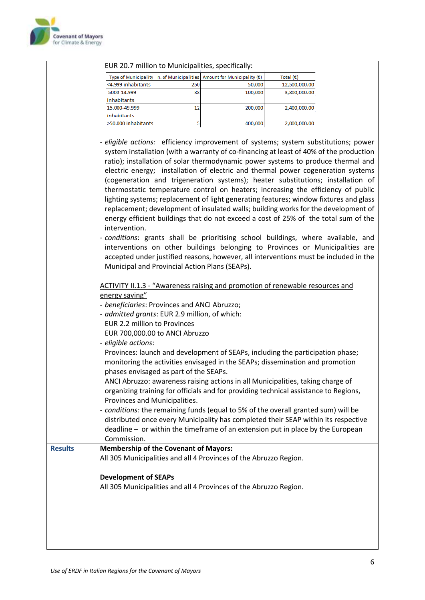

|                |                                               |     | EUR 20.7 million to Municipalities, specifically:                                      |                    |  |
|----------------|-----------------------------------------------|-----|----------------------------------------------------------------------------------------|--------------------|--|
|                | <b>Type of Municipality</b>                   |     | n. of Municipalities Amount for Municipality $(\epsilon)$                              | Total $(\epsilon)$ |  |
|                | <4.999 inhabitants                            | 250 | 50,000                                                                                 | 12,500,000.00      |  |
|                | 5000-14.999                                   | 38  | 100,000                                                                                | 3,800,000.00       |  |
|                | inhabitants                                   |     |                                                                                        |                    |  |
|                | 15.000-49.999                                 | 12  | 200,000                                                                                | 2,400,000.00       |  |
|                | inhabitants                                   |     |                                                                                        |                    |  |
|                | >50.000 inhabitants                           | 5   | 400,000                                                                                | 2,000,000.00       |  |
|                |                                               |     |                                                                                        |                    |  |
|                |                                               |     | - eligible actions: efficiency improvement of systems; system substitutions; power     |                    |  |
|                |                                               |     | system installation (with a warranty of co-financing at least of 40% of the production |                    |  |
|                |                                               |     | ratio); installation of solar thermodynamic power systems to produce thermal and       |                    |  |
|                |                                               |     | electric energy; installation of electric and thermal power cogeneration systems       |                    |  |
|                |                                               |     | (cogeneration and trigeneration systems); heater substitutions; installation of        |                    |  |
|                |                                               |     | thermostatic temperature control on heaters; increasing the efficiency of public       |                    |  |
|                |                                               |     |                                                                                        |                    |  |
|                |                                               |     | lighting systems; replacement of light generating features; window fixtures and glass  |                    |  |
|                |                                               |     | replacement; development of insulated walls; building works for the development of     |                    |  |
|                |                                               |     | energy efficient buildings that do not exceed a cost of 25% of the total sum of the    |                    |  |
|                | intervention.                                 |     |                                                                                        |                    |  |
|                |                                               |     | - conditions: grants shall be prioritising school buildings, where available, and      |                    |  |
|                |                                               |     | interventions on other buildings belonging to Provinces or Municipalities are          |                    |  |
|                |                                               |     | accepted under justified reasons, however, all interventions must be included in the   |                    |  |
|                |                                               |     | Municipal and Provincial Action Plans (SEAPs).                                         |                    |  |
|                |                                               |     |                                                                                        |                    |  |
|                |                                               |     | <b>ACTIVITY II.1.3 - "Awareness raising and promotion of renewable resources and</b>   |                    |  |
|                | energy saving"                                |     |                                                                                        |                    |  |
|                |                                               |     |                                                                                        |                    |  |
|                | - beneficiaries: Provinces and ANCI Abruzzo;  |     |                                                                                        |                    |  |
|                | - admitted grants: EUR 2.9 million, of which: |     |                                                                                        |                    |  |
|                | <b>EUR 2.2 million to Provinces</b>           |     |                                                                                        |                    |  |
|                | EUR 700,000.00 to ANCI Abruzzo                |     |                                                                                        |                    |  |
|                | - eligible actions:                           |     |                                                                                        |                    |  |
|                |                                               |     | Provinces: launch and development of SEAPs, including the participation phase;         |                    |  |
|                |                                               |     | monitoring the activities envisaged in the SEAPs; dissemination and promotion          |                    |  |
|                | phases envisaged as part of the SEAPs.        |     |                                                                                        |                    |  |
|                |                                               |     | ANCI Abruzzo: awareness raising actions in all Municipalities, taking charge of        |                    |  |
|                |                                               |     | organizing training for officials and for providing technical assistance to Regions,   |                    |  |
|                | Provinces and Municipalities.                 |     |                                                                                        |                    |  |
|                |                                               |     | - conditions: the remaining funds (equal to 5% of the overall granted sum) will be     |                    |  |
|                |                                               |     |                                                                                        |                    |  |
|                |                                               |     | distributed once every Municipality has completed their SEAP within its respective     |                    |  |
|                |                                               |     | deadline - or within the timeframe of an extension put in place by the European        |                    |  |
|                | Commission.                                   |     |                                                                                        |                    |  |
| <b>Results</b> | <b>Membership of the Covenant of Mayors:</b>  |     |                                                                                        |                    |  |
|                |                                               |     | All 305 Municipalities and all 4 Provinces of the Abruzzo Region.                      |                    |  |
|                |                                               |     |                                                                                        |                    |  |
|                | <b>Development of SEAPs</b>                   |     |                                                                                        |                    |  |
|                |                                               |     | All 305 Municipalities and all 4 Provinces of the Abruzzo Region.                      |                    |  |
|                |                                               |     |                                                                                        |                    |  |
|                |                                               |     |                                                                                        |                    |  |
|                |                                               |     |                                                                                        |                    |  |
|                |                                               |     |                                                                                        |                    |  |
|                |                                               |     |                                                                                        |                    |  |
|                |                                               |     |                                                                                        |                    |  |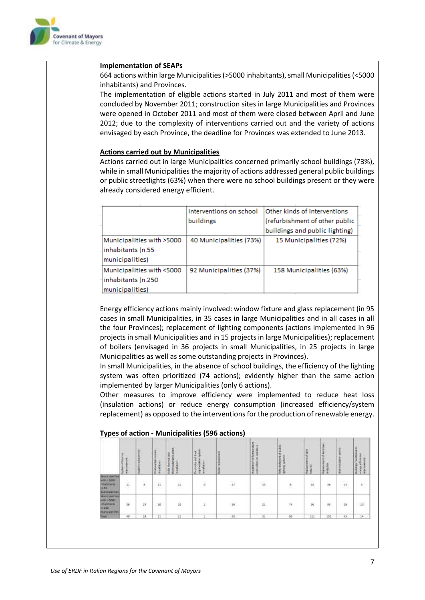

#### **Implementation of SEAPs**

664 actions within large Municipalities(>5000 inhabitants), small Municipalities(<5000 inhabitants) and Provinces.

The implementation of eligible actions started in July 2011 and most of them were concluded by November 2011; construction sites in large Municipalities and Provinces were opened in October 2011 and most of them were closed between April and June 2012; due to the complexity of interventions carried out and the variety of actions envisaged by each Province, the deadline for Provinces was extended to June 2013.

#### **Actions carried out by Municipalities**

Actions carried out in large Municipalities concerned primarily school buildings (73%), while in small Municipalities the majority of actions addressed general public buildings or public streetlights (63%) when there were no school buildings present or they were already considered energy efficient.

|                                                                    | Interventions on school<br>buildings | Other kinds of interventions<br>(refurbishment of other public<br>buildings and public lighting) |
|--------------------------------------------------------------------|--------------------------------------|--------------------------------------------------------------------------------------------------|
| Municipalities with >5000<br>inhabitants (n.55<br>municipalities)  | 40 Municipalities (73%)              | 15 Municipalities (72%)                                                                          |
| Municipalities with <5000<br>inhabitants (n.250<br>municipalities) | 92 Municipalities (37%)              | 158 Municipalities (63%)                                                                         |

Energy efficiency actions mainly involved: window fixture and glass replacement (in 95 cases in small Municipalities, in 35 cases in large Municipalities and in all cases in all the four Provinces); replacement of lighting components (actions implemented in 96 projects in small Municipalities and in 15 projects in large Municipalities); replacement of boilers (envisaged in 36 projects in small Municipalities, in 25 projects in large Municipalities as well as some outstanding projects in Provinces).

In small Municipalities, in the absence of school buildings, the efficiency of the lighting system was often prioritized (74 actions); evidently higher than the same action implemented by larger Municipalities (only 6 actions).

Other measures to improve efficiency were implemented to reduce heat loss (insulation actions) or reduce energy consumption (increased efficiency/system replacement) as opposed to the interventions for the production of renewable energy.

|                                                                                                    | is then off to entry<br>š | ٠               | <b>V</b><br>houseka<br><b>Install at lock</b> | š<br>۰<br>s<br>š   | 흋<br><b>British and hist</b><br>ing interaction | ы                | mittel about of temperature<br>š | ¥<br>Mustuanes of pa<br>enviro | ensities<br><b>Taxa</b><br><b>Huis</b> | Έ<br>avvil glass<br>ł      | $\rightarrow$                 | <b>UNIVERTAINED</b><br>propy officiates |
|----------------------------------------------------------------------------------------------------|---------------------------|-----------------|-----------------------------------------------|--------------------|-------------------------------------------------|------------------|----------------------------------|--------------------------------|----------------------------------------|----------------------------|-------------------------------|-----------------------------------------|
| <b>MACCIANTINE</b><br><b>WITH CASH</b><br><b>IMBRETATES</b><br>24,55<br><b><i>SAFIGURITIES</i></b> | u                         | g)              | $_{\rm th}$<br><b>COLLEGE</b>                 | --<br>$\mathbb{H}$ | ¥.                                              | $\boldsymbol{v}$ | 1.00<br>$\rm{if}$                | $\rlap{-}$                     | 15                                     | 妥<br>÷                     | $\overline{\mathbf{1}}$<br>72 | $\Delta$                                |
| <b>Municipalities</b><br>unit=1000<br><b>Inhannario</b><br><b>Pk 250</b><br><b>Bunicipal May</b>   | 道                         | $\overline{23}$ | $10$                                          | ii                 | 定                                               | $\tilde{m}$      | $21\,$                           | 绥                              | $\overline{96}$                        | $\widetilde{\mathfrak{M}}$ | $2\pi$                        | $10^{\circ}$                            |
| <b>Seat</b>                                                                                        | 45<br>$\cdots$            | 25              | $_{11}$                                       | $\overline{11}$    |                                                 | , 85             | 31                               | 60<br>--                       | tit                                    | 155.                       | 43                            | 14.1                                    |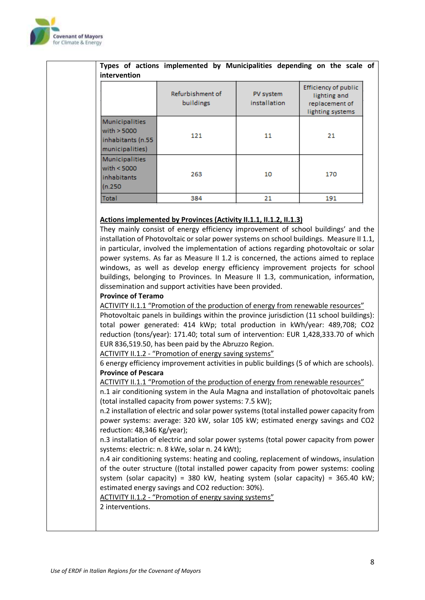

|                                                                                | Refurbishment of<br>buildings                                                                                                                                                                                                                                                                                                                                                                                                                                                                                                                                                                                                                                                                                                                                                                                                                                                                                                                                                                                                                                                                                                                                                                                             | PV system<br>installation | Efficiency of public<br>lighting and<br>replacement of<br>lighting systems |
|--------------------------------------------------------------------------------|---------------------------------------------------------------------------------------------------------------------------------------------------------------------------------------------------------------------------------------------------------------------------------------------------------------------------------------------------------------------------------------------------------------------------------------------------------------------------------------------------------------------------------------------------------------------------------------------------------------------------------------------------------------------------------------------------------------------------------------------------------------------------------------------------------------------------------------------------------------------------------------------------------------------------------------------------------------------------------------------------------------------------------------------------------------------------------------------------------------------------------------------------------------------------------------------------------------------------|---------------------------|----------------------------------------------------------------------------|
| <b>Municipalities</b><br>with $> 5000$<br>inhabitants (n.55<br>municipalities) | 121                                                                                                                                                                                                                                                                                                                                                                                                                                                                                                                                                                                                                                                                                                                                                                                                                                                                                                                                                                                                                                                                                                                                                                                                                       | 11                        | 21                                                                         |
| <b>Municipalities</b><br>with $< 5000$<br>inhabitants<br>(n.250)               | 263                                                                                                                                                                                                                                                                                                                                                                                                                                                                                                                                                                                                                                                                                                                                                                                                                                                                                                                                                                                                                                                                                                                                                                                                                       | 10                        | 170                                                                        |
| <b>Total</b>                                                                   | 384                                                                                                                                                                                                                                                                                                                                                                                                                                                                                                                                                                                                                                                                                                                                                                                                                                                                                                                                                                                                                                                                                                                                                                                                                       | 21                        | 191                                                                        |
| <b>Province of Pescara</b><br>reduction: 48,346 Kg/year);                      | ACTIVITY II.1.1 "Promotion of the production of energy from renewable resources"<br>Photovoltaic panels in buildings within the province jurisdiction (11 school buildings):<br>total power generated: 414 kWp; total production in kWh/year: 489,708; CO2<br>reduction (tons/year): 171.40; total sum of intervention: EUR 1,428,333.70 of which<br>EUR 836,519.50, has been paid by the Abruzzo Region.<br>ACTIVITY II.1.2 - "Promotion of energy saving systems"<br>6 energy efficiency improvement activities in public buildings (5 of which are schools).<br>ACTIVITY II.1.1 "Promotion of the production of energy from renewable resources"<br>n.1 air conditioning system in the Aula Magna and installation of photovoltaic panels<br>(total installed capacity from power systems: 7.5 kW);<br>n.2 installation of electric and solar power systems (total installed power capacity from<br>power systems: average: 320 kW, solar 105 kW; estimated energy savings and CO2<br>n.3 installation of electric and solar power systems (total power capacity from power<br>systems: electric: n. 8 kWe, solar n. 24 kWt);<br>n.4 air conditioning systems: heating and cooling, replacement of windows, insulation |                           |                                                                            |
| ACTIVITY II.1.2 - "Promotion of energy saving systems"                         | of the outer structure ((total installed power capacity from power systems: cooling<br>system (solar capacity) = 380 kW, heating system (solar capacity) = 365.40 kW;<br>estimated energy savings and CO2 reduction: 30%).                                                                                                                                                                                                                                                                                                                                                                                                                                                                                                                                                                                                                                                                                                                                                                                                                                                                                                                                                                                                |                           |                                                                            |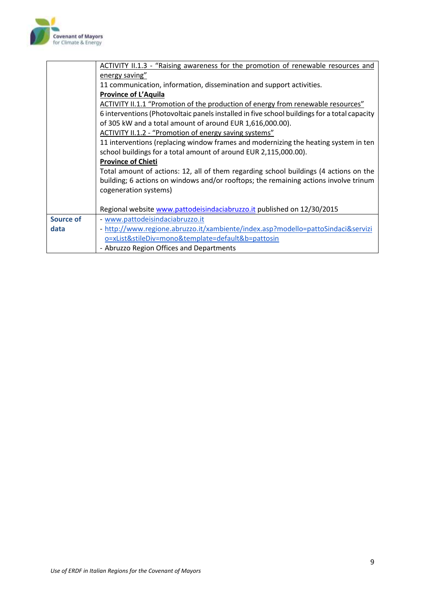

|                  | ACTIVITY II.1.3 - "Raising awareness for the promotion of renewable resources and            |
|------------------|----------------------------------------------------------------------------------------------|
|                  | energy saving"                                                                               |
|                  | 11 communication, information, dissemination and support activities.                         |
|                  | <b>Province of L'Aquila</b>                                                                  |
|                  | ACTIVITY II.1.1 "Promotion of the production of energy from renewable resources"             |
|                  | 6 interventions (Photovoltaic panels installed in five school buildings for a total capacity |
|                  | of 305 kW and a total amount of around EUR 1,616,000.00).                                    |
|                  | ACTIVITY II.1.2 - "Promotion of energy saving systems"                                       |
|                  | 11 interventions (replacing window frames and modernizing the heating system in ten          |
|                  | school buildings for a total amount of around EUR 2,115,000.00).                             |
|                  | <b>Province of Chieti</b>                                                                    |
|                  | Total amount of actions: 12, all of them regarding school buildings (4 actions on the        |
|                  | building; 6 actions on windows and/or rooftops; the remaining actions involve trinum         |
|                  | cogeneration systems)                                                                        |
|                  |                                                                                              |
|                  | Regional website www.pattodeisindaciabruzzo.it published on 12/30/2015                       |
| <b>Source of</b> | - www.pattodeisindaciabruzzo.it                                                              |
| data             | - http://www.regione.abruzzo.it/xambiente/index.asp?modello=pattoSindaci&servizi             |
|                  | o=xList&stileDiv=mono&template=default&b=pattosin                                            |
|                  | - Abruzzo Region Offices and Departments                                                     |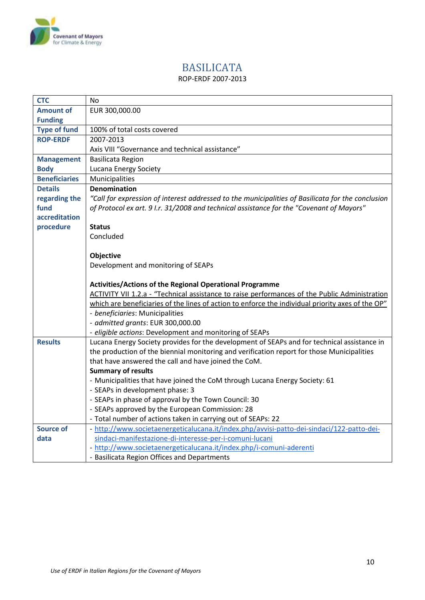

# BASILICATA

### ROP-ERDF 2007-2013

<span id="page-9-0"></span>

| <b>CTC</b>           | <b>No</b>                                                                                         |
|----------------------|---------------------------------------------------------------------------------------------------|
| <b>Amount of</b>     | EUR 300,000.00                                                                                    |
| <b>Funding</b>       |                                                                                                   |
| <b>Type of fund</b>  | 100% of total costs covered                                                                       |
| <b>ROP-ERDF</b>      | 2007-2013                                                                                         |
|                      | Axis VIII "Governance and technical assistance"                                                   |
| <b>Management</b>    | <b>Basilicata Region</b>                                                                          |
| <b>Body</b>          | Lucana Energy Society                                                                             |
| <b>Beneficiaries</b> | Municipalities                                                                                    |
| <b>Details</b>       | <b>Denomination</b>                                                                               |
| regarding the        | "Call for expression of interest addressed to the municipalities of Basilicata for the conclusion |
| fund                 | of Protocol ex art. 9 I.r. 31/2008 and technical assistance for the "Covenant of Mayors"          |
| accreditation        |                                                                                                   |
| procedure            | <b>Status</b>                                                                                     |
|                      | Concluded                                                                                         |
|                      |                                                                                                   |
|                      | Objective                                                                                         |
|                      | Development and monitoring of SEAPs                                                               |
|                      |                                                                                                   |
|                      |                                                                                                   |
|                      | Activities/Actions of the Regional Operational Programme                                          |
|                      | ACTIVITY VII 1.2.a - "Technical assistance to raise performances of the Public Administration     |
|                      | which are beneficiaries of the lines of action to enforce the individual priority axes of the OP" |
|                      | - beneficiaries: Municipalities                                                                   |
|                      | - admitted grants: EUR 300,000.00                                                                 |
|                      | - eligible actions: Development and monitoring of SEAPs                                           |
| <b>Results</b>       | Lucana Energy Society provides for the development of SEAPs and for technical assistance in       |
|                      | the production of the biennial monitoring and verification report for those Municipalities        |
|                      | that have answered the call and have joined the CoM.                                              |
|                      | <b>Summary of results</b>                                                                         |
|                      | - Municipalities that have joined the CoM through Lucana Energy Society: 61                       |
|                      | - SEAPs in development phase: 3                                                                   |
|                      | - SEAPs in phase of approval by the Town Council: 30                                              |
|                      | - SEAPs approved by the European Commission: 28                                                   |
|                      | - Total number of actions taken in carrying out of SEAPs: 22                                      |
| <b>Source of</b>     | - http://www.societaenergeticalucana.it/index.php/avvisi-patto-dei-sindaci/122-patto-dei-         |
| data                 | sindaci-manifestazione-di-interesse-per-i-comuni-lucani                                           |
|                      | - http://www.societaenergeticalucana.it/index.php/i-comuni-aderenti                               |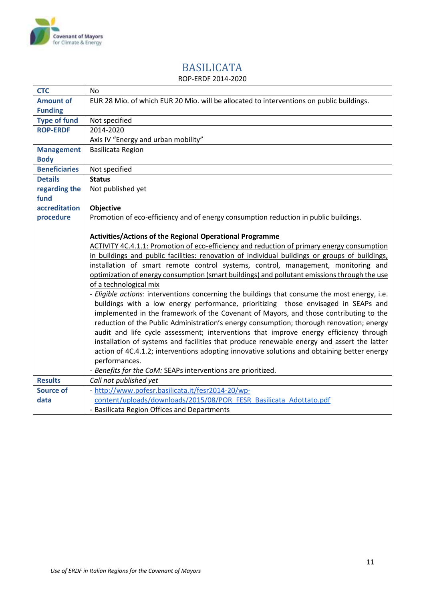

### BASILICATA ROP-ERDF 2014-2020

<span id="page-10-0"></span>

| <b>CTC</b>           | <b>No</b>                                                                                      |
|----------------------|------------------------------------------------------------------------------------------------|
| <b>Amount of</b>     | EUR 28 Mio. of which EUR 20 Mio. will be allocated to interventions on public buildings.       |
| <b>Funding</b>       |                                                                                                |
| <b>Type of fund</b>  | Not specified                                                                                  |
| <b>ROP-ERDF</b>      | 2014-2020                                                                                      |
|                      | Axis IV "Energy and urban mobility"                                                            |
| <b>Management</b>    | <b>Basilicata Region</b>                                                                       |
| <b>Body</b>          |                                                                                                |
| <b>Beneficiaries</b> | Not specified                                                                                  |
| <b>Details</b>       | <b>Status</b>                                                                                  |
| regarding the        | Not published yet                                                                              |
| fund                 |                                                                                                |
| accreditation        | Objective                                                                                      |
| procedure            | Promotion of eco-efficiency and of energy consumption reduction in public buildings.           |
|                      |                                                                                                |
|                      | Activities/Actions of the Regional Operational Programme                                       |
|                      | ACTIVITY 4C.4.1.1: Promotion of eco-efficiency and reduction of primary energy consumption     |
|                      | in buildings and public facilities: renovation of individual buildings or groups of buildings, |
|                      | installation of smart remote control systems, control, management, monitoring and              |
|                      | optimization of energy consumption (smart buildings) and pollutant emissions through the use   |
|                      | of a technological mix                                                                         |
|                      | - Eligible actions: interventions concerning the buildings that consume the most energy, i.e.  |
|                      | buildings with a low energy performance, prioritizing those envisaged in SEAPs and             |
|                      | implemented in the framework of the Covenant of Mayors, and those contributing to the          |
|                      | reduction of the Public Administration's energy consumption; thorough renovation; energy       |
|                      | audit and life cycle assessment; interventions that improve energy efficiency through          |
|                      | installation of systems and facilities that produce renewable energy and assert the latter     |
|                      | action of 4C.4.1.2; interventions adopting innovative solutions and obtaining better energy    |
|                      | performances.                                                                                  |
|                      | - Benefits for the CoM: SEAPs interventions are prioritized.                                   |
| <b>Results</b>       | Call not published yet                                                                         |
| <b>Source of</b>     | - http://www.pofesr.basilicata.it/fesr2014-20/wp-                                              |
| data                 | content/uploads/downloads/2015/08/POR FESR Basilicata Adottato.pdf                             |
|                      | - Basilicata Region Offices and Departments                                                    |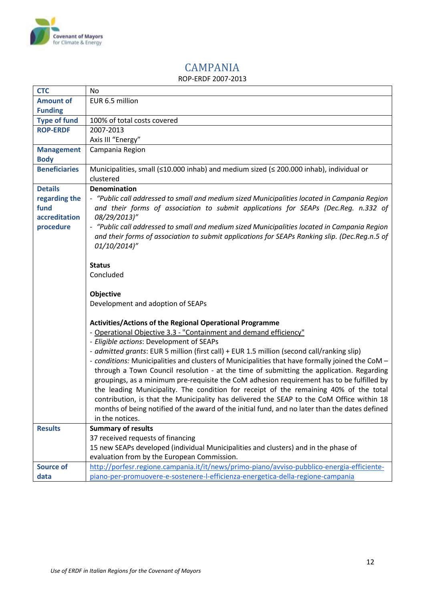

### CAMPANIA ROP-ERDF 2007-2013

<span id="page-11-0"></span>

| <b>CTC</b>           | No                                                                                              |
|----------------------|-------------------------------------------------------------------------------------------------|
| <b>Amount of</b>     | EUR 6.5 million                                                                                 |
| <b>Funding</b>       |                                                                                                 |
| <b>Type of fund</b>  | 100% of total costs covered                                                                     |
| <b>ROP-ERDF</b>      | 2007-2013                                                                                       |
|                      | Axis III "Energy"                                                                               |
| <b>Management</b>    | Campania Region                                                                                 |
| <b>Body</b>          |                                                                                                 |
| <b>Beneficiaries</b> | Municipalities, small (≤10.000 inhab) and medium sized (≤ 200.000 inhab), individual or         |
|                      | clustered                                                                                       |
| <b>Details</b>       | <b>Denomination</b>                                                                             |
| regarding the        | - "Public call addressed to small and medium sized Municipalities located in Campania Region    |
| fund                 | and their forms of association to submit applications for SEAPs (Dec.Reg. n.332 of              |
| accreditation        | 08/29/2013)"                                                                                    |
| procedure            | - "Public call addressed to small and medium sized Municipalities located in Campania Region    |
|                      | and their forms of association to submit applications for SEAPs Ranking slip. (Dec.Reg.n.5 of   |
|                      | 01/10/2014)"                                                                                    |
|                      |                                                                                                 |
|                      | <b>Status</b>                                                                                   |
|                      | Concluded                                                                                       |
|                      |                                                                                                 |
|                      | Objective                                                                                       |
|                      | Development and adoption of SEAPs                                                               |
|                      |                                                                                                 |
|                      | <b>Activities/Actions of the Regional Operational Programme</b>                                 |
|                      | - Operational Objective 3.3 - "Containment and demand efficiency"                               |
|                      | - Eligible actions: Development of SEAPs                                                        |
|                      | - admitted grants: EUR 5 million (first call) + EUR 1.5 million (second call/ranking slip)      |
|                      | - conditions: Municipalities and clusters of Municipalities that have formally joined the CoM - |
|                      | through a Town Council resolution - at the time of submitting the application. Regarding        |
|                      | groupings, as a minimum pre-requisite the CoM adhesion requirement has to be fulfilled by       |
|                      | the leading Municipality. The condition for receipt of the remaining 40% of the total           |
|                      | contribution, is that the Municipality has delivered the SEAP to the CoM Office within 18       |
|                      | months of being notified of the award of the initial fund, and no later than the dates defined  |
|                      | in the notices.                                                                                 |
| <b>Results</b>       | <b>Summary of results</b>                                                                       |
|                      | 37 received requests of financing                                                               |
|                      | 15 new SEAPs developed (individual Municipalities and clusters) and in the phase of             |
|                      | evaluation from by the European Commission.                                                     |
| <b>Source of</b>     | http://porfesr.regione.campania.it/it/news/primo-piano/avviso-pubblico-energia-efficiente-      |
| data                 | piano-per-promuovere-e-sostenere-l-efficienza-energetica-della-regione-campania                 |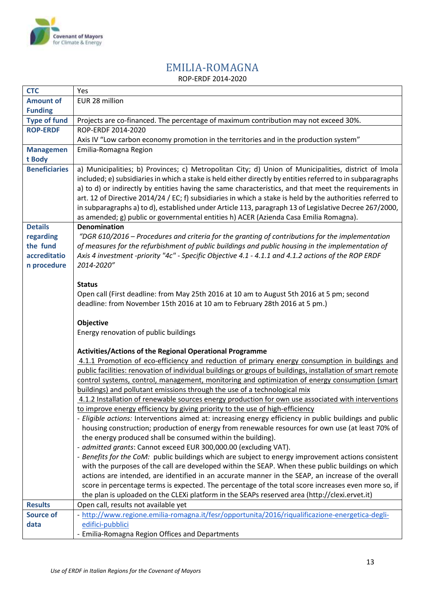

### EMILIA-ROMAGNA ROP-ERDF 2014-2020

<span id="page-12-0"></span>

| <b>CTC</b>           | Yes                                                                                                         |
|----------------------|-------------------------------------------------------------------------------------------------------------|
| <b>Amount of</b>     | EUR 28 million                                                                                              |
| <b>Funding</b>       |                                                                                                             |
| <b>Type of fund</b>  | Projects are co-financed. The percentage of maximum contribution may not exceed 30%.                        |
| <b>ROP-ERDF</b>      | ROP-ERDF 2014-2020                                                                                          |
|                      | Axis IV "Low carbon economy promotion in the territories and in the production system"                      |
| <b>Managemen</b>     | Emilia-Romagna Region                                                                                       |
| t Body               |                                                                                                             |
| <b>Beneficiaries</b> | a) Municipalities; b) Provinces; c) Metropolitan City; d) Union of Municipalities, district of Imola        |
|                      | included; e) subsidiaries in which a stake is held either directly by entities referred to in subparagraphs |
|                      | a) to d) or indirectly by entities having the same characteristics, and that meet the requirements in       |
|                      | art. 12 of Directive 2014/24 / EC; f) subsidiaries in which a stake is held by the authorities referred to  |
|                      | in subparagraphs a) to d), established under Article 113, paragraph 13 of Legislative Decree 267/2000,      |
|                      | as amended; g) public or governmental entities h) ACER (Azienda Casa Emilia Romagna).                       |
| <b>Details</b>       | <b>Denomination</b>                                                                                         |
| regarding            | "DGR 610/2016 – Procedures and criteria for the granting of contributions for the implementation            |
| the fund             | of measures for the refurbishment of public buildings and public housing in the implementation of           |
| accreditatio         | Axis 4 investment -priority "4c" - Specific Objective 4.1 - 4.1.1 and 4.1.2 actions of the ROP ERDF         |
| n procedure          | 2014-2020"                                                                                                  |
|                      |                                                                                                             |
|                      | <b>Status</b>                                                                                               |
|                      | Open call (First deadline: from May 25th 2016 at 10 am to August 5th 2016 at 5 pm; second                   |
|                      | deadline: from November 15th 2016 at 10 am to February 28th 2016 at 5 pm.)                                  |
|                      |                                                                                                             |
|                      | Objective<br>Energy renovation of public buildings                                                          |
|                      |                                                                                                             |
|                      | Activities/Actions of the Regional Operational Programme                                                    |
|                      | 4.1.1 Promotion of eco-efficiency and reduction of primary energy consumption in buildings and              |
|                      | public facilities: renovation of individual buildings or groups of buildings, installation of smart remote  |
|                      | control systems, control, management, monitoring and optimization of energy consumption (smart              |
|                      | buildings) and pollutant emissions through the use of a technological mix                                   |
|                      | 4.1.2 Installation of renewable sources energy production for own use associated with interventions         |
|                      | to improve energy efficiency by giving priority to the use of high-efficiency                               |
|                      | - Eligible actions: Interventions aimed at: increasing energy efficiency in public buildings and public     |
|                      | housing construction; production of energy from renewable resources for own use (at least 70% of            |
|                      | the energy produced shall be consumed within the building).                                                 |
|                      | - admitted grants: Cannot exceed EUR 300,000.00 (excluding VAT).                                            |
|                      | - Benefits for the CoM: public buildings which are subject to energy improvement actions consistent         |
|                      | with the purposes of the call are developed within the SEAP. When these public buildings on which           |
|                      | actions are intended, are identified in an accurate manner in the SEAP, an increase of the overall          |
|                      | score in percentage terms is expected. The percentage of the total score increases even more so, if         |
|                      | the plan is uploaded on the CLEXi platform in the SEAPs reserved area (http://clexi.ervet.it)               |
| <b>Results</b>       | Open call, results not available yet                                                                        |
| <b>Source of</b>     | - http://www.regione.emilia-romagna.it/fesr/opportunita/2016/riqualificazione-energetica-degli-             |
| data                 | edifici-pubblici                                                                                            |
|                      | - Emilia-Romagna Region Offices and Departments                                                             |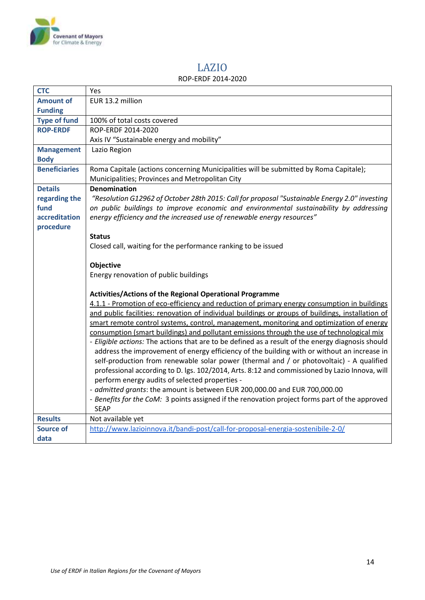

## LAZIO

#### ROP-ERDF 2014-2020

<span id="page-13-0"></span>

| <b>CTC</b>           | Yes                                                                                                                                                                                                                                                                                                                                                                                                                                                                                    |  |  |
|----------------------|----------------------------------------------------------------------------------------------------------------------------------------------------------------------------------------------------------------------------------------------------------------------------------------------------------------------------------------------------------------------------------------------------------------------------------------------------------------------------------------|--|--|
| <b>Amount of</b>     | EUR 13.2 million                                                                                                                                                                                                                                                                                                                                                                                                                                                                       |  |  |
| <b>Funding</b>       |                                                                                                                                                                                                                                                                                                                                                                                                                                                                                        |  |  |
| <b>Type of fund</b>  | 100% of total costs covered                                                                                                                                                                                                                                                                                                                                                                                                                                                            |  |  |
| <b>ROP-ERDF</b>      | ROP-ERDF 2014-2020                                                                                                                                                                                                                                                                                                                                                                                                                                                                     |  |  |
|                      | Axis IV "Sustainable energy and mobility"                                                                                                                                                                                                                                                                                                                                                                                                                                              |  |  |
| <b>Management</b>    | Lazio Region                                                                                                                                                                                                                                                                                                                                                                                                                                                                           |  |  |
| <b>Body</b>          |                                                                                                                                                                                                                                                                                                                                                                                                                                                                                        |  |  |
| <b>Beneficiaries</b> | Roma Capitale (actions concerning Municipalities will be submitted by Roma Capitale);                                                                                                                                                                                                                                                                                                                                                                                                  |  |  |
|                      | Municipalities; Provinces and Metropolitan City                                                                                                                                                                                                                                                                                                                                                                                                                                        |  |  |
| <b>Details</b>       | <b>Denomination</b>                                                                                                                                                                                                                                                                                                                                                                                                                                                                    |  |  |
| regarding the        | "Resolution G12962 of October 28th 2015: Call for proposal "Sustainable Energy 2.0" investing                                                                                                                                                                                                                                                                                                                                                                                          |  |  |
| fund                 | on public buildings to improve economic and environmental sustainability by addressing                                                                                                                                                                                                                                                                                                                                                                                                 |  |  |
| accreditation        | energy efficiency and the increased use of renewable energy resources"                                                                                                                                                                                                                                                                                                                                                                                                                 |  |  |
| procedure            |                                                                                                                                                                                                                                                                                                                                                                                                                                                                                        |  |  |
|                      | <b>Status</b>                                                                                                                                                                                                                                                                                                                                                                                                                                                                          |  |  |
|                      | Closed call, waiting for the performance ranking to be issued                                                                                                                                                                                                                                                                                                                                                                                                                          |  |  |
|                      |                                                                                                                                                                                                                                                                                                                                                                                                                                                                                        |  |  |
|                      | Objective                                                                                                                                                                                                                                                                                                                                                                                                                                                                              |  |  |
|                      | Energy renovation of public buildings                                                                                                                                                                                                                                                                                                                                                                                                                                                  |  |  |
|                      |                                                                                                                                                                                                                                                                                                                                                                                                                                                                                        |  |  |
|                      | Activities/Actions of the Regional Operational Programme                                                                                                                                                                                                                                                                                                                                                                                                                               |  |  |
|                      | 4.1.1 - Promotion of eco-efficiency and reduction of primary energy consumption in buildings                                                                                                                                                                                                                                                                                                                                                                                           |  |  |
|                      | and public facilities: renovation of individual buildings or groups of buildings, installation of                                                                                                                                                                                                                                                                                                                                                                                      |  |  |
|                      | smart remote control systems, control, management, monitoring and optimization of energy<br>consumption (smart buildings) and pollutant emissions through the use of technological mix<br>- Eligible actions: The actions that are to be defined as a result of the energy diagnosis should<br>address the improvement of energy efficiency of the building with or without an increase in<br>self-production from renewable solar power (thermal and / or photovoltaic) - A qualified |  |  |
|                      |                                                                                                                                                                                                                                                                                                                                                                                                                                                                                        |  |  |
|                      |                                                                                                                                                                                                                                                                                                                                                                                                                                                                                        |  |  |
|                      |                                                                                                                                                                                                                                                                                                                                                                                                                                                                                        |  |  |
|                      | professional according to D. Igs. 102/2014, Arts. 8:12 and commissioned by Lazio Innova, will<br>perform energy audits of selected properties -<br>- admitted grants: the amount is between EUR 200,000.00 and EUR 700,000.00                                                                                                                                                                                                                                                          |  |  |
|                      |                                                                                                                                                                                                                                                                                                                                                                                                                                                                                        |  |  |
|                      |                                                                                                                                                                                                                                                                                                                                                                                                                                                                                        |  |  |
|                      | - Benefits for the CoM: 3 points assigned if the renovation project forms part of the approved                                                                                                                                                                                                                                                                                                                                                                                         |  |  |
|                      | <b>SEAP</b>                                                                                                                                                                                                                                                                                                                                                                                                                                                                            |  |  |
| <b>Results</b>       | Not available yet                                                                                                                                                                                                                                                                                                                                                                                                                                                                      |  |  |
| <b>Source of</b>     | http://www.lazioinnova.it/bandi-post/call-for-proposal-energia-sostenibile-2-0/                                                                                                                                                                                                                                                                                                                                                                                                        |  |  |
| data                 |                                                                                                                                                                                                                                                                                                                                                                                                                                                                                        |  |  |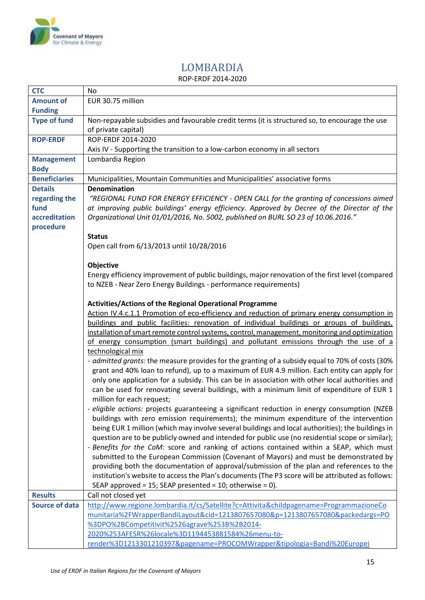

### LOMBARDIA ROP-ERDF 2014-2020

<span id="page-14-0"></span>

| <b>CTC</b>            | No                                                                                                |  |  |  |
|-----------------------|---------------------------------------------------------------------------------------------------|--|--|--|
| <b>Amount of</b>      | EUR 30.75 million                                                                                 |  |  |  |
| <b>Funding</b>        |                                                                                                   |  |  |  |
| <b>Type of fund</b>   | Non-repayable subsidies and favourable credit terms (it is structured so, to encourage the use    |  |  |  |
|                       | of private capital)                                                                               |  |  |  |
| <b>ROP-ERDF</b>       | ROP-ERDF 2014-2020                                                                                |  |  |  |
|                       | Axis IV - Supporting the transition to a low-carbon economy in all sectors                        |  |  |  |
| <b>Management</b>     | Lombardia Region                                                                                  |  |  |  |
| <b>Body</b>           |                                                                                                   |  |  |  |
| <b>Beneficiaries</b>  | Municipalities, Mountain Communities and Municipalities' associative forms                        |  |  |  |
| <b>Details</b>        | <b>Denomination</b>                                                                               |  |  |  |
| regarding the         | "REGIONAL FUND FOR ENERGY EFFICIENCY - OPEN CALL for the granting of concessions aimed            |  |  |  |
| fund                  | at improving public buildings' energy efficiency. Approved by Decree of the Director of the       |  |  |  |
| accreditation         | Organizational Unit 01/01/2016, No. 5002, published on BURL SO 23 of 10.06.2016."                 |  |  |  |
| procedure             |                                                                                                   |  |  |  |
|                       |                                                                                                   |  |  |  |
|                       | <b>Status</b>                                                                                     |  |  |  |
|                       | Open call from 6/13/2013 until 10/28/2016                                                         |  |  |  |
|                       | Objective                                                                                         |  |  |  |
|                       | Energy efficiency improvement of public buildings, major renovation of the first level (compared  |  |  |  |
|                       |                                                                                                   |  |  |  |
|                       | to NZEB - Near Zero Energy Buildings - performance requirements)                                  |  |  |  |
|                       |                                                                                                   |  |  |  |
|                       | <b>Activities/Actions of the Regional Operational Programme</b>                                   |  |  |  |
|                       | Action IV.4.c.1.1 Promotion of eco-efficiency and reduction of primary energy consumption in      |  |  |  |
|                       | buildings and public facilities: renovation of individual buildings or groups of buildings,       |  |  |  |
|                       | installation of smart remote control systems, control, management, monitoring and optimization    |  |  |  |
|                       | of energy consumption (smart buildings) and pollutant emissions through the use of a              |  |  |  |
|                       | technological mix                                                                                 |  |  |  |
|                       | - admitted grants: the measure provides for the granting of a subsidy equal to 70% of costs (30%  |  |  |  |
|                       | grant and 40% loan to refund), up to a maximum of EUR 4.9 million. Each entity can apply for      |  |  |  |
|                       | only one application for a subsidy. This can be in association with other local authorities and   |  |  |  |
|                       | can be used for renovating several buildings, with a minimum limit of expenditure of EUR 1        |  |  |  |
|                       | million for each request;                                                                         |  |  |  |
|                       | - eligible actions: projects guaranteeing a significant reduction in energy consumption (NZEB     |  |  |  |
|                       | buildings with zero emission requirements); the minimum expenditure of the intervention           |  |  |  |
|                       | being EUR 1 million (which may involve several buildings and local authorities); the buildings in |  |  |  |
|                       | question are to be publicly owned and intended for public use (no residential scope or similar);  |  |  |  |
|                       | - Benefits for the CoM: score and ranking of actions contained within a SEAP, which must          |  |  |  |
|                       | submitted to the European Commission (Covenant of Mayors) and must be demonstrated by             |  |  |  |
|                       | providing both the documentation of approval/submission of the plan and references to the         |  |  |  |
|                       | institution's website to access the Plan's documents (The P3 score will be attributed as follows: |  |  |  |
|                       | SEAP approved = 15; SEAP presented = 10; otherwise = 0).                                          |  |  |  |
| <b>Results</b>        | Call not closed yet                                                                               |  |  |  |
| <b>Source of data</b> | http://www.regione.lombardia.it/cs/Satellite?c=Attivita&childpagename=ProgrammazioneCo            |  |  |  |
|                       | munitaria%2FWrapperBandiLayout&cid=1213807657080&p=1213807657080&packedargs=PO                    |  |  |  |
|                       | %3DPO%2BCompetitivit%2526agrave%253B%2B2014-                                                      |  |  |  |
|                       | 2020%253AFESR%26locale%3D1194453881584%26menu-to-                                                 |  |  |  |
|                       | render%3D1213301210397&pagename=PROCOMWrapper&tipologia=Bandi%20Europei                           |  |  |  |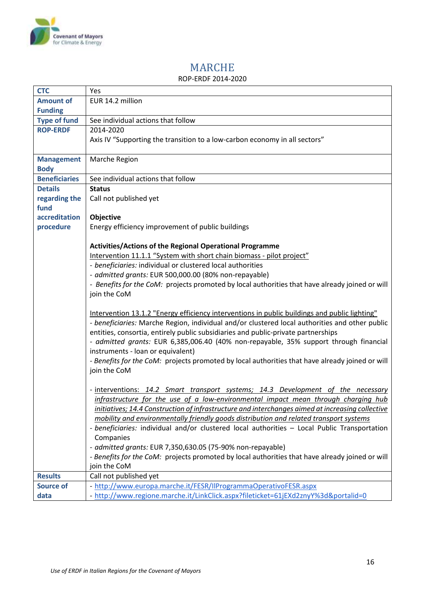

<span id="page-15-0"></span> $\mathbf{r}$ 

# MARCHE

#### ROP-ERDF 2014-2020

| <b>CTC</b>                                                                                                | Yes                                                                                                                                                                                                                                                                                                                                                                  |  |                                                            |  |
|-----------------------------------------------------------------------------------------------------------|----------------------------------------------------------------------------------------------------------------------------------------------------------------------------------------------------------------------------------------------------------------------------------------------------------------------------------------------------------------------|--|------------------------------------------------------------|--|
| <b>Amount of</b>                                                                                          | EUR 14.2 million                                                                                                                                                                                                                                                                                                                                                     |  |                                                            |  |
| <b>Funding</b>                                                                                            |                                                                                                                                                                                                                                                                                                                                                                      |  |                                                            |  |
| <b>Type of fund</b>                                                                                       | See individual actions that follow                                                                                                                                                                                                                                                                                                                                   |  |                                                            |  |
| <b>ROP-ERDF</b>                                                                                           | 2014-2020                                                                                                                                                                                                                                                                                                                                                            |  |                                                            |  |
|                                                                                                           | Axis IV "Supporting the transition to a low-carbon economy in all sectors"                                                                                                                                                                                                                                                                                           |  |                                                            |  |
| <b>Management</b>                                                                                         | Marche Region                                                                                                                                                                                                                                                                                                                                                        |  |                                                            |  |
| <b>Body</b>                                                                                               |                                                                                                                                                                                                                                                                                                                                                                      |  |                                                            |  |
| <b>Beneficiaries</b>                                                                                      | See individual actions that follow                                                                                                                                                                                                                                                                                                                                   |  |                                                            |  |
| <b>Details</b>                                                                                            |                                                                                                                                                                                                                                                                                                                                                                      |  |                                                            |  |
|                                                                                                           | <b>Status</b>                                                                                                                                                                                                                                                                                                                                                        |  |                                                            |  |
| regarding the<br>fund                                                                                     | Call not published yet                                                                                                                                                                                                                                                                                                                                               |  |                                                            |  |
| accreditation                                                                                             |                                                                                                                                                                                                                                                                                                                                                                      |  |                                                            |  |
|                                                                                                           | Objective                                                                                                                                                                                                                                                                                                                                                            |  |                                                            |  |
| procedure                                                                                                 | Energy efficiency improvement of public buildings                                                                                                                                                                                                                                                                                                                    |  |                                                            |  |
|                                                                                                           |                                                                                                                                                                                                                                                                                                                                                                      |  |                                                            |  |
|                                                                                                           | Activities/Actions of the Regional Operational Programme                                                                                                                                                                                                                                                                                                             |  |                                                            |  |
|                                                                                                           | Intervention 11.1.1 "System with short chain biomass - pilot project"<br>- beneficiaries: individual or clustered local authorities                                                                                                                                                                                                                                  |  |                                                            |  |
|                                                                                                           |                                                                                                                                                                                                                                                                                                                                                                      |  |                                                            |  |
|                                                                                                           | - admitted grants: EUR 500,000.00 (80% non-repayable)                                                                                                                                                                                                                                                                                                                |  |                                                            |  |
|                                                                                                           | - Benefits for the CoM: projects promoted by local authorities that have already joined or will                                                                                                                                                                                                                                                                      |  |                                                            |  |
|                                                                                                           | join the CoM                                                                                                                                                                                                                                                                                                                                                         |  |                                                            |  |
|                                                                                                           | Intervention 13.1.2 "Energy efficiency interventions in public buildings and public lighting"<br>- beneficiaries: Marche Region, individual and/or clustered local authorities and other public<br>entities, consortia, entirely public subsidiaries and public-private partnerships                                                                                 |  |                                                            |  |
|                                                                                                           | - admitted grants: EUR 6,385,006.40 (40% non-repayable, 35% support through financial<br>instruments - loan or equivalent)<br>- Benefits for the CoM: projects promoted by local authorities that have already joined or will<br>join the CoM                                                                                                                        |  |                                                            |  |
|                                                                                                           |                                                                                                                                                                                                                                                                                                                                                                      |  |                                                            |  |
|                                                                                                           |                                                                                                                                                                                                                                                                                                                                                                      |  |                                                            |  |
|                                                                                                           |                                                                                                                                                                                                                                                                                                                                                                      |  |                                                            |  |
|                                                                                                           | - interventions: 14.2 Smart transport systems; 14.3 Development of the necessary<br>infrastructure for the use of a low-environmental impact mean through charging hub<br>initiatives; 14.4 Construction of infrastructure and interchanges aimed at increasing collective<br>mobility and environmentally friendly goods distribution and related transport systems |  |                                                            |  |
| - beneficiaries: individual and/or clustered local authorities - Local Public Transportation<br>Companies |                                                                                                                                                                                                                                                                                                                                                                      |  |                                                            |  |
|                                                                                                           |                                                                                                                                                                                                                                                                                                                                                                      |  | - admitted grants: EUR 7,350,630.05 (75-90% non-repayable) |  |
|                                                                                                           | - Benefits for the CoM: projects promoted by local authorities that have already joined or will                                                                                                                                                                                                                                                                      |  |                                                            |  |
|                                                                                                           | join the CoM                                                                                                                                                                                                                                                                                                                                                         |  |                                                            |  |
| <b>Results</b>                                                                                            | Call not published yet                                                                                                                                                                                                                                                                                                                                               |  |                                                            |  |
| <b>Source of</b>                                                                                          | - http://www.europa.marche.it/FESR/IlProgrammaOperativoFESR.aspx                                                                                                                                                                                                                                                                                                     |  |                                                            |  |
| data                                                                                                      | - http://www.regione.marche.it/LinkClick.aspx?fileticket=61jEXd2znyY%3d&portalid=0                                                                                                                                                                                                                                                                                   |  |                                                            |  |

٦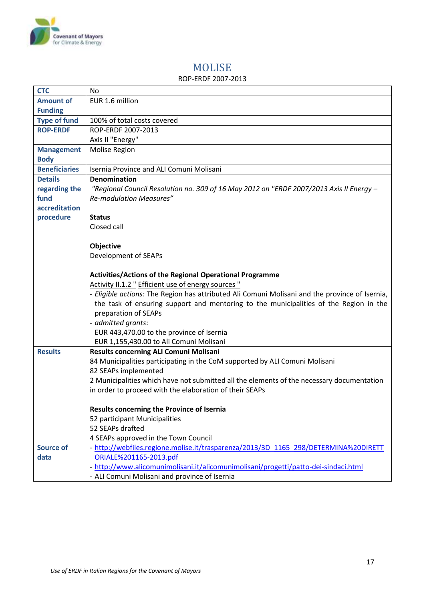

## MOLISE

#### ROP-ERDF 2007-2013

<span id="page-16-0"></span>

| <b>CTC</b>                    | <b>No</b>                                                                                      |  |  |  |
|-------------------------------|------------------------------------------------------------------------------------------------|--|--|--|
| <b>Amount of</b>              | EUR 1.6 million                                                                                |  |  |  |
| <b>Funding</b>                |                                                                                                |  |  |  |
| <b>Type of fund</b>           | 100% of total costs covered                                                                    |  |  |  |
| <b>ROP-ERDF</b>               | ROP-ERDF 2007-2013                                                                             |  |  |  |
|                               | Axis II "Energy"                                                                               |  |  |  |
| <b>Management</b>             | Molise Region                                                                                  |  |  |  |
| <b>Body</b>                   |                                                                                                |  |  |  |
| <b>Beneficiaries</b>          | Isernia Province and ALI Comuni Molisani                                                       |  |  |  |
| <b>Details</b>                | Denomination                                                                                   |  |  |  |
| regarding the                 | "Regional Council Resolution no. 309 of 16 May 2012 on "ERDF 2007/2013 Axis II Energy -        |  |  |  |
| fund                          | <b>Re-modulation Measures"</b>                                                                 |  |  |  |
| accreditation                 |                                                                                                |  |  |  |
| procedure                     | <b>Status</b>                                                                                  |  |  |  |
|                               | Closed call                                                                                    |  |  |  |
|                               |                                                                                                |  |  |  |
|                               | Objective                                                                                      |  |  |  |
| Development of SEAPs          |                                                                                                |  |  |  |
|                               | Activities/Actions of the Regional Operational Programme                                       |  |  |  |
|                               |                                                                                                |  |  |  |
|                               | Activity II.1.2 " Efficient use of energy sources "                                            |  |  |  |
|                               | - Eligible actions: The Region has attributed Ali Comuni Molisani and the province of Isernia, |  |  |  |
|                               | the task of ensuring support and mentoring to the municipalities of the Region in the          |  |  |  |
|                               | preparation of SEAPs                                                                           |  |  |  |
|                               | - admitted grants:                                                                             |  |  |  |
|                               | EUR 443,470.00 to the province of Isernia                                                      |  |  |  |
|                               | EUR 1,155,430.00 to Ali Comuni Molisani                                                        |  |  |  |
| <b>Results</b>                | Results concerning ALI Comuni Molisani                                                         |  |  |  |
|                               | 84 Municipalities participating in the CoM supported by ALI Comuni Molisani                    |  |  |  |
|                               | 82 SEAPs implemented                                                                           |  |  |  |
|                               | 2 Municipalities which have not submitted all the elements of the necessary documentation      |  |  |  |
|                               | in order to proceed with the elaboration of their SEAPs                                        |  |  |  |
|                               |                                                                                                |  |  |  |
|                               | Results concerning the Province of Isernia                                                     |  |  |  |
| 52 participant Municipalities |                                                                                                |  |  |  |
|                               | 52 SEAPs drafted                                                                               |  |  |  |
|                               | 4 SEAPs approved in the Town Council                                                           |  |  |  |
| <b>Source of</b>              | - http://webfiles.regione.molise.it/trasparenza/2013/3D 1165 298/DETERMINA%20DIRETT            |  |  |  |
| data                          | ORIALE%201165-2013.pdf                                                                         |  |  |  |
|                               | - http://www.alicomunimolisani.it/alicomunimolisani/progetti/patto-dei-sindaci.html            |  |  |  |
|                               | - ALI Comuni Molisani and province of Isernia                                                  |  |  |  |
|                               |                                                                                                |  |  |  |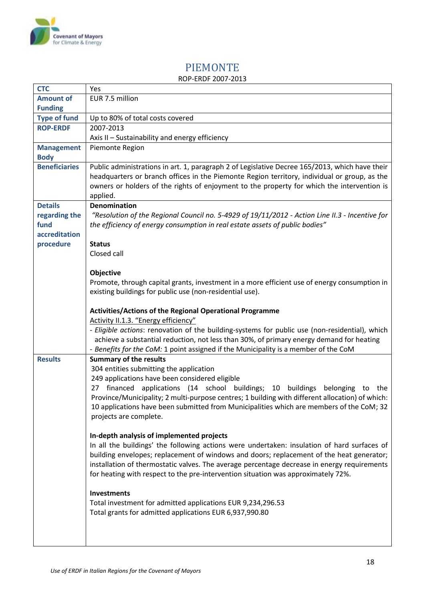

# PIEMONTE

#### ROP-ERDF 2007-2013

<span id="page-17-0"></span>

| <b>CTC</b>           | Yes                                                                                                                                                                              |  |
|----------------------|----------------------------------------------------------------------------------------------------------------------------------------------------------------------------------|--|
| <b>Amount of</b>     | EUR 7.5 million                                                                                                                                                                  |  |
| <b>Funding</b>       |                                                                                                                                                                                  |  |
| <b>Type of fund</b>  | Up to 80% of total costs covered                                                                                                                                                 |  |
| <b>ROP-ERDF</b>      | 2007-2013                                                                                                                                                                        |  |
|                      | Axis II - Sustainability and energy efficiency                                                                                                                                   |  |
| <b>Management</b>    | Piemonte Region                                                                                                                                                                  |  |
| <b>Body</b>          |                                                                                                                                                                                  |  |
| <b>Beneficiaries</b> | Public administrations in art. 1, paragraph 2 of Legislative Decree 165/2013, which have their                                                                                   |  |
|                      | headquarters or branch offices in the Piemonte Region territory, individual or group, as the                                                                                     |  |
|                      | owners or holders of the rights of enjoyment to the property for which the intervention is                                                                                       |  |
|                      | applied.                                                                                                                                                                         |  |
| <b>Details</b>       | <b>Denomination</b>                                                                                                                                                              |  |
| regarding the        | "Resolution of the Regional Council no. 5-4929 of 19/11/2012 - Action Line II.3 - Incentive for                                                                                  |  |
| fund                 | the efficiency of energy consumption in real estate assets of public bodies"                                                                                                     |  |
| accreditation        |                                                                                                                                                                                  |  |
| procedure            | <b>Status</b>                                                                                                                                                                    |  |
|                      | Closed call                                                                                                                                                                      |  |
|                      | Objective                                                                                                                                                                        |  |
|                      | Promote, through capital grants, investment in a more efficient use of energy consumption in                                                                                     |  |
|                      | existing buildings for public use (non-residential use).                                                                                                                         |  |
|                      |                                                                                                                                                                                  |  |
|                      | <b>Activities/Actions of the Regional Operational Programme</b>                                                                                                                  |  |
|                      | Activity II.1.3. "Energy efficiency"                                                                                                                                             |  |
|                      | - Eligible actions: renovation of the building-systems for public use (non-residential), which                                                                                   |  |
|                      | achieve a substantial reduction, not less than 30%, of primary energy demand for heating                                                                                         |  |
|                      | - Benefits for the CoM: 1 point assigned if the Municipality is a member of the CoM                                                                                              |  |
| <b>Results</b>       | <b>Summary of the results</b>                                                                                                                                                    |  |
|                      | 304 entities submitting the application                                                                                                                                          |  |
|                      | 249 applications have been considered eligible                                                                                                                                   |  |
|                      | 27 financed applications (14 school buildings; 10 buildings<br>belonging<br>to the                                                                                               |  |
|                      | Province/Municipality; 2 multi-purpose centres; 1 building with different allocation) of which:                                                                                  |  |
|                      | 10 applications have been submitted from Municipalities which are members of the CoM; 32                                                                                         |  |
|                      | projects are complete.                                                                                                                                                           |  |
|                      |                                                                                                                                                                                  |  |
|                      | In-depth analysis of implemented projects                                                                                                                                        |  |
|                      | In all the buildings' the following actions were undertaken: insulation of hard surfaces of                                                                                      |  |
|                      | building envelopes; replacement of windows and doors; replacement of the heat generator;                                                                                         |  |
|                      | installation of thermostatic valves. The average percentage decrease in energy requirements<br>for heating with respect to the pre-intervention situation was approximately 72%. |  |
|                      |                                                                                                                                                                                  |  |
|                      | <b>Investments</b>                                                                                                                                                               |  |
|                      | Total investment for admitted applications EUR 9,234,296.53                                                                                                                      |  |
|                      | Total grants for admitted applications EUR 6,937,990.80                                                                                                                          |  |
|                      |                                                                                                                                                                                  |  |
|                      |                                                                                                                                                                                  |  |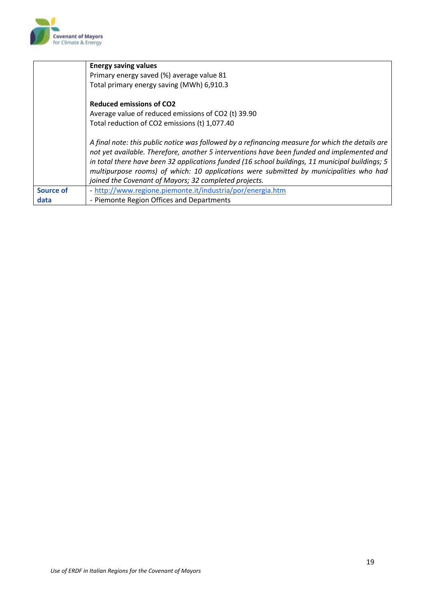

|                  | <b>Energy saving values</b>                                                                                                                                                                                                                                                                                                                                                                                                                          |  |
|------------------|------------------------------------------------------------------------------------------------------------------------------------------------------------------------------------------------------------------------------------------------------------------------------------------------------------------------------------------------------------------------------------------------------------------------------------------------------|--|
|                  | Primary energy saved (%) average value 81                                                                                                                                                                                                                                                                                                                                                                                                            |  |
|                  | Total primary energy saving (MWh) 6,910.3                                                                                                                                                                                                                                                                                                                                                                                                            |  |
|                  | <b>Reduced emissions of CO2</b>                                                                                                                                                                                                                                                                                                                                                                                                                      |  |
|                  | Average value of reduced emissions of CO2 (t) 39.90                                                                                                                                                                                                                                                                                                                                                                                                  |  |
|                  | Total reduction of CO2 emissions (t) 1,077.40                                                                                                                                                                                                                                                                                                                                                                                                        |  |
|                  | A final note: this public notice was followed by a refinancing measure for which the details are<br>not yet available. Therefore, another 5 interventions have been funded and implemented and<br>in total there have been 32 applications funded (16 school buildings, 11 municipal buildings; 5<br>multipurpose rooms) of which: 10 applications were submitted by municipalities who had<br>joined the Covenant of Mayors; 32 completed projects. |  |
| <b>Source of</b> | - http://www.regione.piemonte.it/industria/por/energia.htm                                                                                                                                                                                                                                                                                                                                                                                           |  |
| data             | - Piemonte Region Offices and Departments                                                                                                                                                                                                                                                                                                                                                                                                            |  |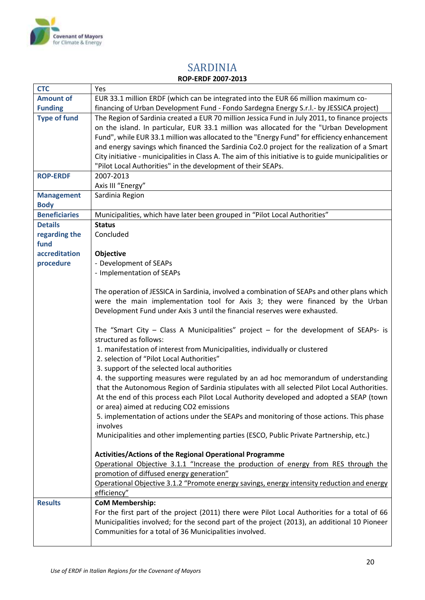

<span id="page-19-0"></span> $\mathsf{r}$ 

### SARDINIA **ROP-ERDF 2007-2013**

| <b>CTC</b>           | Yes                                                                                                                                    |  |  |
|----------------------|----------------------------------------------------------------------------------------------------------------------------------------|--|--|
| <b>Amount of</b>     | EUR 33.1 million ERDF (which can be integrated into the EUR 66 million maximum co-                                                     |  |  |
| <b>Funding</b>       | financing of Urban Development Fund - Fondo Sardegna Energy S.r.l.- by JESSICA project)                                                |  |  |
| <b>Type of fund</b>  | The Region of Sardinia created a EUR 70 million Jessica Fund in July 2011, to finance projects                                         |  |  |
|                      | on the island. In particular, EUR 33.1 million was allocated for the "Urban Development                                                |  |  |
|                      | Fund", while EUR 33.1 million was allocated to the "Energy Fund" for efficiency enhancement                                            |  |  |
|                      | and energy savings which financed the Sardinia Co2.0 project for the realization of a Smart                                            |  |  |
|                      | City initiative - municipalities in Class A. The aim of this initiative is to guide municipalities or                                  |  |  |
|                      | "Pilot Local Authorities" in the development of their SEAPs.                                                                           |  |  |
| <b>ROP-ERDF</b>      | 2007-2013                                                                                                                              |  |  |
|                      | Axis III "Energy"                                                                                                                      |  |  |
| <b>Management</b>    | Sardinia Region                                                                                                                        |  |  |
| <b>Body</b>          |                                                                                                                                        |  |  |
| <b>Beneficiaries</b> | Municipalities, which have later been grouped in "Pilot Local Authorities"                                                             |  |  |
| <b>Details</b>       | <b>Status</b>                                                                                                                          |  |  |
| regarding the        | Concluded                                                                                                                              |  |  |
| fund                 |                                                                                                                                        |  |  |
| accreditation        |                                                                                                                                        |  |  |
| procedure            | Objective<br>- Development of SEAPs                                                                                                    |  |  |
|                      | - Implementation of SEAPs                                                                                                              |  |  |
|                      |                                                                                                                                        |  |  |
|                      | The operation of JESSICA in Sardinia, involved a combination of SEAPs and other plans which                                            |  |  |
|                      | were the main implementation tool for Axis 3; they were financed by the Urban                                                          |  |  |
|                      | Development Fund under Axis 3 until the financial reserves were exhausted.                                                             |  |  |
|                      |                                                                                                                                        |  |  |
|                      | The "Smart City – Class A Municipalities" project – for the development of SEAPs- is                                                   |  |  |
|                      | structured as follows:                                                                                                                 |  |  |
|                      | 1. manifestation of interest from Municipalities, individually or clustered                                                            |  |  |
|                      | 2. selection of "Pilot Local Authorities"                                                                                              |  |  |
|                      | 3. support of the selected local authorities                                                                                           |  |  |
|                      | 4. the supporting measures were regulated by an ad hoc memorandum of understanding                                                     |  |  |
|                      | that the Autonomous Region of Sardinia stipulates with all selected Pilot Local Authorities.                                           |  |  |
|                      | At the end of this process each Pilot Local Authority developed and adopted a SEAP (town                                               |  |  |
|                      | or area) aimed at reducing CO2 emissions                                                                                               |  |  |
|                      | 5. implementation of actions under the SEAPs and monitoring of those actions. This phase                                               |  |  |
|                      | involves                                                                                                                               |  |  |
|                      | Municipalities and other implementing parties (ESCO, Public Private Partnership, etc.)                                                 |  |  |
|                      |                                                                                                                                        |  |  |
|                      | <b>Activities/Actions of the Regional Operational Programme</b>                                                                        |  |  |
|                      | Operational Objective 3.1.1 "Increase the production of energy from RES through the                                                    |  |  |
|                      | promotion of diffused energy generation"<br>Operational Objective 3.1.2 "Promote energy savings, energy intensity reduction and energy |  |  |
|                      |                                                                                                                                        |  |  |
|                      | efficiency"                                                                                                                            |  |  |
| <b>Results</b>       | <b>CoM Membership:</b>                                                                                                                 |  |  |
|                      | For the first part of the project (2011) there were Pilot Local Authorities for a total of 66                                          |  |  |
|                      | Municipalities involved; for the second part of the project (2013), an additional 10 Pioneer                                           |  |  |
|                      | Communities for a total of 36 Municipalities involved.                                                                                 |  |  |
|                      |                                                                                                                                        |  |  |

٦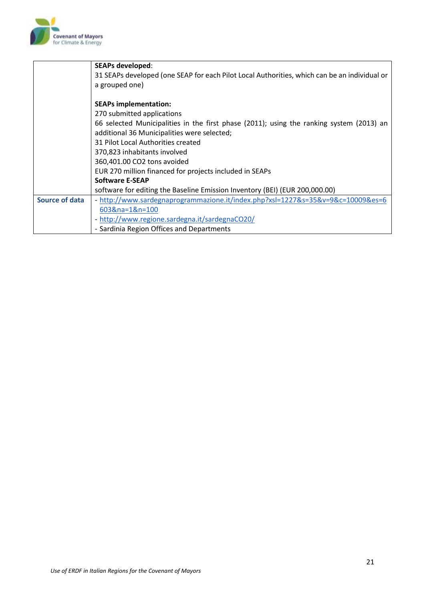

|                       | <b>SEAPs developed:</b>                                                                                                                 |  |  |
|-----------------------|-----------------------------------------------------------------------------------------------------------------------------------------|--|--|
|                       | 31 SEAPs developed (one SEAP for each Pilot Local Authorities, which can be an individual or                                            |  |  |
|                       | a grouped one)                                                                                                                          |  |  |
|                       | <b>SEAPs implementation:</b>                                                                                                            |  |  |
|                       | 270 submitted applications                                                                                                              |  |  |
|                       | 66 selected Municipalities in the first phase (2011); using the ranking system (2013) an<br>additional 36 Municipalities were selected; |  |  |
|                       | 31 Pilot Local Authorities created                                                                                                      |  |  |
|                       | 370,823 inhabitants involved                                                                                                            |  |  |
|                       | 360,401.00 CO2 tons avoided                                                                                                             |  |  |
|                       | EUR 270 million financed for projects included in SEAPs                                                                                 |  |  |
|                       | <b>Software E-SEAP</b>                                                                                                                  |  |  |
|                       | software for editing the Baseline Emission Inventory (BEI) (EUR 200,000.00)                                                             |  |  |
| <b>Source of data</b> | - http://www.sardegnaprogrammazione.it/index.php?xsl=1227&s=35&v=9&c=10009&es=6                                                         |  |  |
|                       | 603&na=1&n=100                                                                                                                          |  |  |
|                       | - http://www.regione.sardegna.it/sardegnaCO20/                                                                                          |  |  |
|                       | - Sardinia Region Offices and Departments                                                                                               |  |  |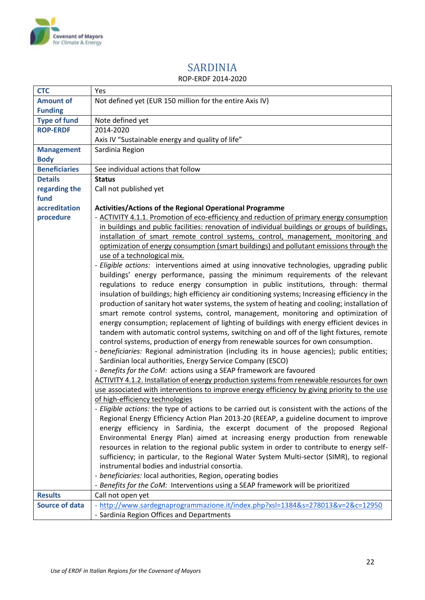

## SARDINIA

#### ROP-ERDF 2014-2020

<span id="page-21-0"></span>

| <b>CTC</b>            | Yes                                                                                             |  |  |
|-----------------------|-------------------------------------------------------------------------------------------------|--|--|
| <b>Amount of</b>      | Not defined yet (EUR 150 million for the entire Axis IV)                                        |  |  |
| <b>Funding</b>        |                                                                                                 |  |  |
| <b>Type of fund</b>   | Note defined yet                                                                                |  |  |
| <b>ROP-ERDF</b>       | 2014-2020                                                                                       |  |  |
|                       | Axis IV "Sustainable energy and quality of life"                                                |  |  |
| <b>Management</b>     | Sardinia Region                                                                                 |  |  |
| <b>Body</b>           |                                                                                                 |  |  |
| <b>Beneficiaries</b>  | See individual actions that follow                                                              |  |  |
| <b>Details</b>        | <b>Status</b>                                                                                   |  |  |
| regarding the         | Call not published yet                                                                          |  |  |
| fund                  |                                                                                                 |  |  |
| accreditation         | Activities/Actions of the Regional Operational Programme                                        |  |  |
| procedure             | - ACTIVITY 4.1.1. Promotion of eco-efficiency and reduction of primary energy consumption       |  |  |
|                       | in buildings and public facilities: renovation of individual buildings or groups of buildings,  |  |  |
|                       | installation of smart remote control systems, control, management, monitoring and               |  |  |
|                       | optimization of energy consumption (smart buildings) and pollutant emissions through the        |  |  |
|                       | use of a technological mix.                                                                     |  |  |
|                       | - Eligible actions: interventions aimed at using innovative technologies, upgrading public      |  |  |
|                       | buildings' energy performance, passing the minimum requirements of the relevant                 |  |  |
|                       | regulations to reduce energy consumption in public institutions, through: thermal               |  |  |
|                       | insulation of buildings; high efficiency air conditioning systems; Increasing efficiency in the |  |  |
|                       | production of sanitary hot water systems, the system of heating and cooling; installation of    |  |  |
|                       | smart remote control systems, control, management, monitoring and optimization of               |  |  |
|                       | energy consumption; replacement of lighting of buildings with energy efficient devices in       |  |  |
|                       | tandem with automatic control systems, switching on and off of the light fixtures, remote       |  |  |
|                       | control systems, production of energy from renewable sources for own consumption.               |  |  |
|                       | - beneficiaries: Regional administration (including its in house agencies); public entities;    |  |  |
|                       | Sardinian local authorities, Energy Service Company (ESCO)                                      |  |  |
|                       | - Benefits for the CoM: actions using a SEAP framework are favoured                             |  |  |
|                       | ACTIVITY 4.1.2. Installation of energy production systems from renewable resources for own      |  |  |
|                       | use associated with interventions to improve energy efficiency by giving priority to the use    |  |  |
|                       | of high-efficiency technologies                                                                 |  |  |
|                       | - Eligible actions: the type of actions to be carried out is consistent with the actions of the |  |  |
|                       | Regional Energy Efficiency Action Plan 2013-20 (REEAP, a guideline document to improve          |  |  |
|                       | energy efficiency in Sardinia, the excerpt document of the proposed Regional                    |  |  |
|                       | Environmental Energy Plan) aimed at increasing energy production from renewable                 |  |  |
|                       | resources in relation to the regional public system in order to contribute to energy self-      |  |  |
|                       | sufficiency; in particular, to the Regional Water System Multi-sector (SIMR), to regional       |  |  |
|                       | instrumental bodies and industrial consortia.                                                   |  |  |
|                       | - beneficiaries: local authorities, Region, operating bodies                                    |  |  |
|                       | - Benefits for the CoM: Interventions using a SEAP framework will be prioritized                |  |  |
| <b>Results</b>        | Call not open yet                                                                               |  |  |
| <b>Source of data</b> | - http://www.sardegnaprogrammazione.it/index.php?xsl=1384&s=278013&v=2&c=12950                  |  |  |
|                       | - Sardinia Region Offices and Departments                                                       |  |  |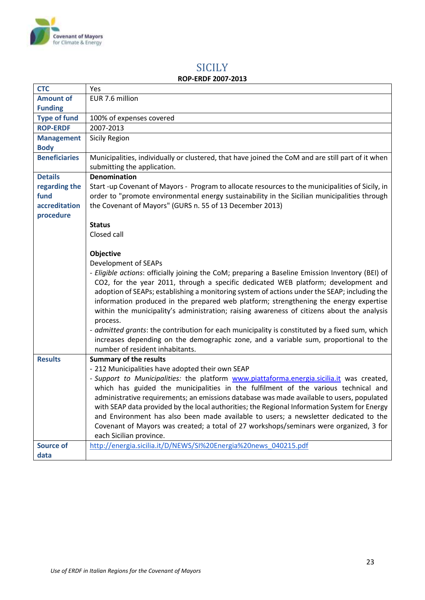

### **SICILY ROP-ERDF 2007-2013**

<span id="page-22-0"></span>

| <b>CTC</b>                                                                                | Yes                                                                                                                                                                                       |  |  |  |
|-------------------------------------------------------------------------------------------|-------------------------------------------------------------------------------------------------------------------------------------------------------------------------------------------|--|--|--|
| <b>Amount of</b>                                                                          | EUR 7.6 million                                                                                                                                                                           |  |  |  |
| <b>Funding</b>                                                                            |                                                                                                                                                                                           |  |  |  |
| <b>Type of fund</b>                                                                       | 100% of expenses covered                                                                                                                                                                  |  |  |  |
| <b>ROP-ERDF</b>                                                                           | 2007-2013                                                                                                                                                                                 |  |  |  |
| <b>Management</b>                                                                         | <b>Sicily Region</b>                                                                                                                                                                      |  |  |  |
| <b>Body</b>                                                                               |                                                                                                                                                                                           |  |  |  |
| <b>Beneficiaries</b>                                                                      | Municipalities, individually or clustered, that have joined the CoM and are still part of it when                                                                                         |  |  |  |
|                                                                                           | submitting the application.                                                                                                                                                               |  |  |  |
| <b>Details</b>                                                                            | <b>Denomination</b>                                                                                                                                                                       |  |  |  |
| regarding the                                                                             | Start -up Covenant of Mayors - Program to allocate resources to the municipalities of Sicily, in                                                                                          |  |  |  |
| fund                                                                                      | order to "promote environmental energy sustainability in the Sicilian municipalities through                                                                                              |  |  |  |
| accreditation                                                                             | the Covenant of Mayors" (GURS n. 55 of 13 December 2013)                                                                                                                                  |  |  |  |
| procedure                                                                                 |                                                                                                                                                                                           |  |  |  |
|                                                                                           | <b>Status</b>                                                                                                                                                                             |  |  |  |
|                                                                                           | Closed call                                                                                                                                                                               |  |  |  |
|                                                                                           |                                                                                                                                                                                           |  |  |  |
|                                                                                           | Objective                                                                                                                                                                                 |  |  |  |
|                                                                                           | Development of SEAPs                                                                                                                                                                      |  |  |  |
|                                                                                           | - Eligible actions: officially joining the CoM; preparing a Baseline Emission Inventory (BEI) of                                                                                          |  |  |  |
|                                                                                           | CO2, for the year 2011, through a specific dedicated WEB platform; development and                                                                                                        |  |  |  |
|                                                                                           | adoption of SEAPs; establishing a monitoring system of actions under the SEAP; including the                                                                                              |  |  |  |
|                                                                                           | information produced in the prepared web platform; strengthening the energy expertise                                                                                                     |  |  |  |
|                                                                                           | within the municipality's administration; raising awareness of citizens about the analysis                                                                                                |  |  |  |
|                                                                                           | process.                                                                                                                                                                                  |  |  |  |
|                                                                                           | - admitted grants: the contribution for each municipality is constituted by a fixed sum, which                                                                                            |  |  |  |
|                                                                                           | increases depending on the demographic zone, and a variable sum, proportional to the<br>number of resident inhabitants.                                                                   |  |  |  |
| <b>Results</b>                                                                            | <b>Summary of the results</b>                                                                                                                                                             |  |  |  |
|                                                                                           | - 212 Municipalities have adopted their own SEAP                                                                                                                                          |  |  |  |
| - Support to Municipalities: the platform www.piattaforma.energia.sicilia.it was created, |                                                                                                                                                                                           |  |  |  |
|                                                                                           | which has guided the municipalities in the fulfilment of the various technical and                                                                                                        |  |  |  |
|                                                                                           | administrative requirements; an emissions database was made available to users, populated<br>with SEAP data provided by the local authorities; the Regional Information System for Energy |  |  |  |
|                                                                                           |                                                                                                                                                                                           |  |  |  |
|                                                                                           | and Environment has also been made available to users; a newsletter dedicated to the                                                                                                      |  |  |  |
|                                                                                           | Covenant of Mayors was created; a total of 27 workshops/seminars were organized, 3 for                                                                                                    |  |  |  |
|                                                                                           | each Sicilian province.                                                                                                                                                                   |  |  |  |
| <b>Source of</b>                                                                          | http://energia.sicilia.it/D/NEWS/SI%20Energia%20news 040215.pdf                                                                                                                           |  |  |  |
| data                                                                                      |                                                                                                                                                                                           |  |  |  |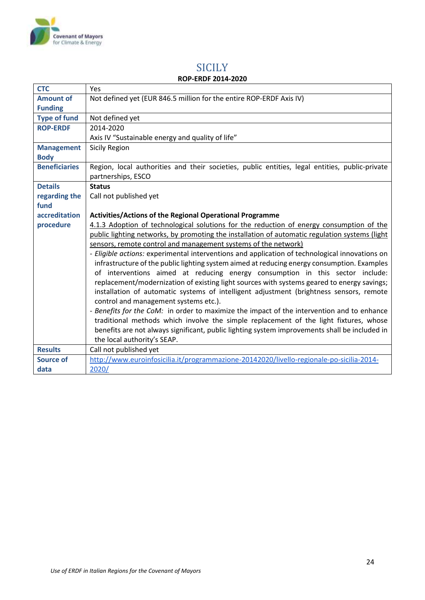

### **SICILY ROP-ERDF 2014-2020**

<span id="page-23-1"></span><span id="page-23-0"></span>

| <b>CTC</b>           | <b>Yes</b>                                                                                     |  |  |
|----------------------|------------------------------------------------------------------------------------------------|--|--|
| <b>Amount of</b>     | Not defined yet (EUR 846.5 million for the entire ROP-ERDF Axis IV)                            |  |  |
| <b>Funding</b>       |                                                                                                |  |  |
| <b>Type of fund</b>  | Not defined yet                                                                                |  |  |
| <b>ROP-ERDF</b>      | 2014-2020                                                                                      |  |  |
|                      | Axis IV "Sustainable energy and quality of life"                                               |  |  |
| <b>Management</b>    | Sicily Region                                                                                  |  |  |
| <b>Body</b>          |                                                                                                |  |  |
| <b>Beneficiaries</b> | Region, local authorities and their societies, public entities, legal entities, public-private |  |  |
|                      | partnerships, ESCO                                                                             |  |  |
| <b>Details</b>       | <b>Status</b>                                                                                  |  |  |
| regarding the        | Call not published yet                                                                         |  |  |
| fund                 |                                                                                                |  |  |
| accreditation        | Activities/Actions of the Regional Operational Programme                                       |  |  |
| procedure            | 4.1.3 Adoption of technological solutions for the reduction of energy consumption of the       |  |  |
|                      | public lighting networks, by promoting the installation of automatic regulation systems (light |  |  |
|                      | sensors, remote control and management systems of the network)                                 |  |  |
|                      | - Eligible actions: experimental interventions and application of technological innovations on |  |  |
|                      | infrastructure of the public lighting system aimed at reducing energy consumption. Examples    |  |  |
|                      | of interventions aimed at reducing energy consumption in this sector include:                  |  |  |
|                      | replacement/modernization of existing light sources with systems geared to energy savings;     |  |  |
|                      | installation of automatic systems of intelligent adjustment (brightness sensors, remote        |  |  |
|                      | control and management systems etc.).                                                          |  |  |
|                      | - Benefits for the CoM: in order to maximize the impact of the intervention and to enhance     |  |  |
|                      | traditional methods which involve the simple replacement of the light fixtures, whose          |  |  |
|                      | benefits are not always significant, public lighting system improvements shall be included in  |  |  |
|                      | the local authority's SEAP.                                                                    |  |  |
| <b>Results</b>       | Call not published yet                                                                         |  |  |
| <b>Source of</b>     | http://www.euroinfosicilia.it/programmazione-20142020/livello-regionale-po-sicilia-2014-       |  |  |
| data                 | 2020/                                                                                          |  |  |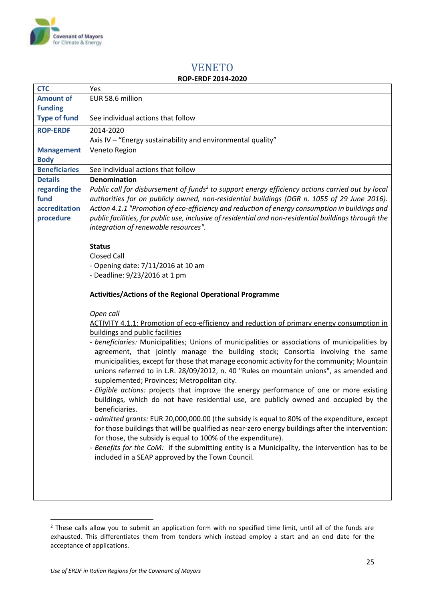

# VENETO

| <b>ROP-ERDF 2014-2020</b> |  |
|---------------------------|--|
|---------------------------|--|

| <b>CTC</b>                              | Yes                                                                                                                                                                                                                                                                                                                     |
|-----------------------------------------|-------------------------------------------------------------------------------------------------------------------------------------------------------------------------------------------------------------------------------------------------------------------------------------------------------------------------|
| <b>Amount of</b>                        | EUR 58.6 million                                                                                                                                                                                                                                                                                                        |
| <b>Funding</b>                          |                                                                                                                                                                                                                                                                                                                         |
| <b>Type of fund</b>                     | See individual actions that follow                                                                                                                                                                                                                                                                                      |
| <b>ROP-ERDF</b>                         | 2014-2020                                                                                                                                                                                                                                                                                                               |
|                                         | Axis IV - "Energy sustainability and environmental quality"                                                                                                                                                                                                                                                             |
| <b>Management</b>                       | Veneto Region                                                                                                                                                                                                                                                                                                           |
| <b>Body</b>                             |                                                                                                                                                                                                                                                                                                                         |
| <b>Beneficiaries</b>                    | See individual actions that follow                                                                                                                                                                                                                                                                                      |
| <b>Details</b><br>regarding the<br>fund | <b>Denomination</b><br>Public call for disbursement of funds <sup>2</sup> to support energy efficiency actions carried out by local                                                                                                                                                                                     |
| accreditation                           | authorities for on publicly owned, non-residential buildings (DGR n. 1055 of 29 June 2016).<br>Action 4.1.1 "Promotion of eco-efficiency and reduction of energy consumption in buildings and                                                                                                                           |
| procedure                               | public facilities, for public use, inclusive of residential and non-residential buildings through the                                                                                                                                                                                                                   |
|                                         | integration of renewable resources".                                                                                                                                                                                                                                                                                    |
|                                         |                                                                                                                                                                                                                                                                                                                         |
|                                         | <b>Status</b>                                                                                                                                                                                                                                                                                                           |
|                                         | <b>Closed Call</b>                                                                                                                                                                                                                                                                                                      |
|                                         | - Opening date: 7/11/2016 at 10 am                                                                                                                                                                                                                                                                                      |
|                                         | - Deadline: 9/23/2016 at 1 pm                                                                                                                                                                                                                                                                                           |
|                                         |                                                                                                                                                                                                                                                                                                                         |
|                                         | <b>Activities/Actions of the Regional Operational Programme</b>                                                                                                                                                                                                                                                         |
|                                         |                                                                                                                                                                                                                                                                                                                         |
|                                         | Open call<br>ACTIVITY 4.1.1: Promotion of eco-efficiency and reduction of primary energy consumption in                                                                                                                                                                                                                 |
|                                         | buildings and public facilities                                                                                                                                                                                                                                                                                         |
|                                         | - beneficiaries: Municipalities; Unions of municipalities or associations of municipalities by                                                                                                                                                                                                                          |
|                                         | agreement, that jointly manage the building stock; Consortia involving the same<br>municipalities, except for those that manage economic activity for the community; Mountain<br>unions referred to in L.R. 28/09/2012, n. 40 "Rules on mountain unions", as amended and<br>supplemented; Provinces; Metropolitan city. |
|                                         | - Eligible actions: projects that improve the energy performance of one or more existing<br>buildings, which do not have residential use, are publicly owned and occupied by the<br>beneficiaries.                                                                                                                      |
|                                         | - admitted grants: EUR 20,000,000.00 (the subsidy is equal to 80% of the expenditure, except<br>for those buildings that will be qualified as near-zero energy buildings after the intervention:<br>for those, the subsidy is equal to 100% of the expenditure).                                                        |
|                                         | - Benefits for the CoM: if the submitting entity is a Municipality, the intervention has to be<br>included in a SEAP approved by the Town Council.                                                                                                                                                                      |
|                                         |                                                                                                                                                                                                                                                                                                                         |
|                                         |                                                                                                                                                                                                                                                                                                                         |
|                                         |                                                                                                                                                                                                                                                                                                                         |

**<sup>.</sup>**  $2$  These calls allow you to submit an application form with no specified time limit, until all of the funds are exhausted. This differentiates them from tenders which instead employ a start and an end date for the acceptance of applications.